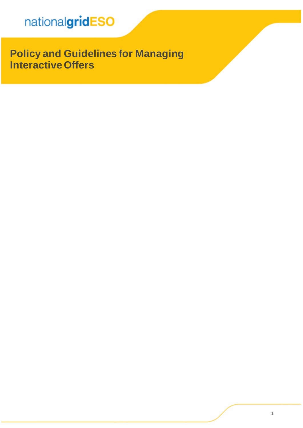**Policy and Guidelines for Managing InteractiveOffers**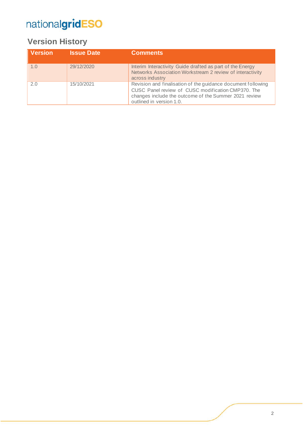### **Version History**

| <b>Version</b> | <b>Issue Date</b> | <b>Comments</b>                                                                                                                                                                                         |
|----------------|-------------------|---------------------------------------------------------------------------------------------------------------------------------------------------------------------------------------------------------|
| 1.0            | 29/12/2020        | Interim Interactivity Guide drafted as part of the Energy<br>Networks Association Workstream 2 review of interactivity<br>across industry                                                               |
| 2.0            | 15/10/2021        | Revision and finalisation of the guidance document following<br>CUSC Panel review of CUSC modification CMP370. The<br>changes include the outcome of the Summer 2021 review<br>outlined in version 1.0. |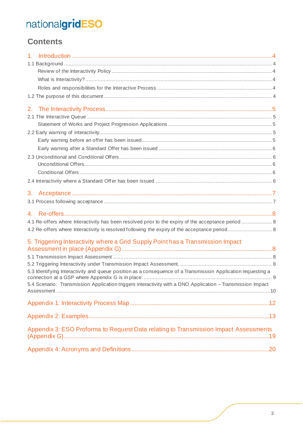### **Contents**

| 1 <sub>1</sub>                                                                                               |  |
|--------------------------------------------------------------------------------------------------------------|--|
|                                                                                                              |  |
|                                                                                                              |  |
|                                                                                                              |  |
|                                                                                                              |  |
|                                                                                                              |  |
|                                                                                                              |  |
|                                                                                                              |  |
|                                                                                                              |  |
|                                                                                                              |  |
|                                                                                                              |  |
|                                                                                                              |  |
|                                                                                                              |  |
|                                                                                                              |  |
|                                                                                                              |  |
|                                                                                                              |  |
| 3.                                                                                                           |  |
|                                                                                                              |  |
|                                                                                                              |  |
| 4.1 Re-offers where Interactivity has been resolved prior to the expiry of the acceptance period  8          |  |
|                                                                                                              |  |
| 5. Triggering Interactivity where a Grid Supply Point has a Transmission Impact                              |  |
|                                                                                                              |  |
|                                                                                                              |  |
|                                                                                                              |  |
| 5.3 Identifying Interactivity and queue position as a consequence of a Transmission Application requesting a |  |
| 5.4 Scenario: Transmission Application triggers interactivity with a DNO Application - Transmission Impact   |  |
|                                                                                                              |  |
|                                                                                                              |  |
|                                                                                                              |  |
| Appendix 3: ESO Proforma to Request Data relating to Transmission Impact Assessments                         |  |
|                                                                                                              |  |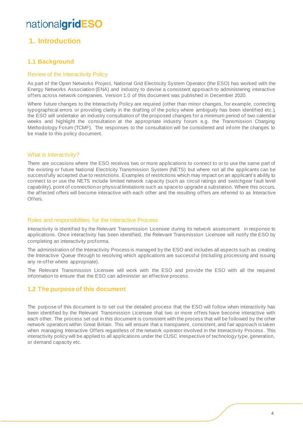### <span id="page-3-0"></span>**1. Introduction**

#### <span id="page-3-1"></span>**1.1 Background**

#### <span id="page-3-2"></span>Review of the Interactivity Policy

As part of the Open Networks Project, National Grid Electricity System Operator (the ESO) has worked with the Energy Networks Association (ENA) and industry to devise a consistent approach to administering interactive offers across network companies. Version 1.0 of this document was published in December 2020.

Where future changes to the Interactivity Policy are required (other than minor changes, for example, correcting typographical errors or providing clarity in the drafting of the policy where ambiguity has been identified etc.), the ESO will undertake an industry consultation of the proposed changes for a minimum period of two calendar weeks and highlight the consultation at the appropriate industry forum e.g. the Transmission Charging Methodology Forum (TCMF). The responses to the consultation will be considered and inform the changes to be made to this policy document.

#### <span id="page-3-3"></span>What is Interactivity?

There are occasions where the ESO receives two or more applications to connect to or to use the same part of the existing or future National Electricity Transmission System (NETS) but where not all the applicants can be successfully accepted due to restrictions. Examples of restrictions which may impact on an applicant's ability to connect to or use the NETS include limited network capacity (such as circuit ratings and switchgear fault level capability), point of connection or physical limitations such as space to upgrade a substation. Where this occurs, the affected offers will become interactive with each other and the resulting offers are referred to as Interactive **Offers** 

#### <span id="page-3-4"></span>Roles and responsibilities for the Interactive Process

Interactivity is identified by the Relevant Transmission Licensee during its network assessment in response to applications. Once interactivity has been identified, the Relevant Transmission Licensee will notify the ESO by completing an interactivity proforma.

The administration of the Interactivity Process is managed by the ESO and includes all aspects such as creating the Interactive Queue through to resolving which applications are successful (including processing and issuing any re-offer where appropriate).

The Relevant Transmission Licensee will work with the ESO and provide the ESO with all the required information to ensure that the ESO can administer an effective process.

#### <span id="page-3-5"></span>**1.2 The purpose of this document**

The purpose of this document is to set out the detailed process that the ESO will follow when interactivity has been identified by the Relevant Transmission Licensee that two or more offers have become interactive with each other. The process set out in this document is consistent with the process that will be followed by the other network operators within Great Britain. This will ensure that a transparent, consistent, and fair approach is taken when managing Interactive Offers regardless of the network operator involved in the Interactivity Process. This interactivity policy will be applied to all applications under the CUSC irrespective of technology type, generation, or demand capacity etc.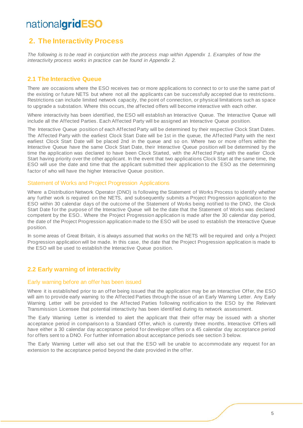### <span id="page-4-0"></span>**2. The Interactivity Process**

*The following is to be read in conjunction with the process map within Appendix 1. Examples of how the interactivity process works in practice can be found in Appendix 2.* 

#### <span id="page-4-1"></span>**2.1 The Interactive Queue**

There are occasions where the ESO receives two or more applications to connect to or to use the same part of the existing or future NETS but where not all the applicants can be successfully accepted due to restrictions. Restrictions can include limited network capacity, the point of connection, or physical limitations such as space to upgrade a substation. Where this occurs, the affected offers will become interactive with each other.

Where interactivity has been identified, the ESO will establish an Interactive Queue. The Interactive Queue will include all the Affected Parties. Each Affected Party will be assigned an Interactive Queue position.

The Interactive Queue position of each Affected Party will be determined by their respective Clock Start Dates. The Affected Party with the earliest Clock Start Date will be 1st in the queue, the Affected Party with the next earliest Clock Start Date will be placed 2nd in the queue and so on. Where two or more offers within the Interactive Queue have the same Clock Start Date, their Interactive Queue position will be determined by the time the application was declared to have been Clock Started, with the Affected Party with the earlier Clock Start having priority over the other applicant. In the event that two applications Clock Start at the same time, the ESO will use the date and time that the applicant submitted their application to the ESO as the determining factor of who will have the higher Interactive Queue position.

#### <span id="page-4-2"></span>Statement of Works and Project Progression Applications

Where a Distribution Network Operator (DNO) is following the Statement of Works Process to identify whether any further work is required on the NETS, and subsequently submits a Project Progression application to the ESO within 30 calendar days of the outcome of the Statement of Works being notified to the DNO, the Clock Start Date for the purpose of the Interactive Queue will be the date that the Statement of Works was declared competent by the ESO.. Where the Project Progression application is made after the 30 calendar day period, the date of the Project Progression application made to the ESO will be used to establish the Interactive Queue position.

In some areas of Great Britain, it is always assumed that works on the NETS will be required and only a Project Progression application will be made. In this case, the date that the Project Progression application is made to the ESO will be used to establish the Interactive Queue position.

#### <span id="page-4-3"></span>**2.2 Early warning of interactivity**

#### <span id="page-4-4"></span>Early warning before an offer has been issued

Where it is established prior to an offer being issued that the application may be an Interactive Offer, the ESO will aim to provide early warning to the Affected Parties through the issue of an Early Warning Letter. Any Early Warning Letter will be provided to the Affected Parties following notification to the ESO by the Relevant Transmission Licensee that potential interactivity has been identified during its network assessment.

The Early Warning Letter is intended to alert the applicant that their offer may be issued with a shorter acceptance period in comparison to a Standard Offer, which is currently three months. Interactive Offers will have either a 30 calendar day acceptance period for developer offers or a 45 calendar day acceptance period for offers sent to a DNO. For further information about acceptance periods see section 3 below.

The Early Warning Letter will also set out that the ESO will be unable to accommodate any request for an extension to the acceptance period beyond the date provided in the offer.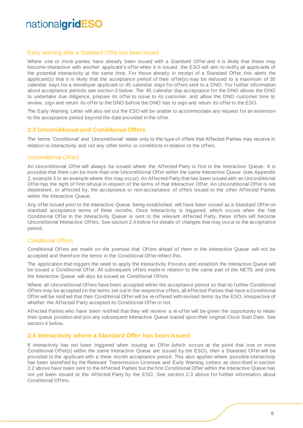#### <span id="page-5-0"></span>Early warning after a Standard Offer has been issued

Where one or more parties have already been issued with a Standard Offer and it is likely that these may become interactive with another applicant's offer when it is issued, the ESO will aim to notify all applicants of the potential interactivity at the same time. For those already in receipt of a Standard Offer, this alerts the applicant(s) that it is likely that the acceptance period of their offer(s) may be reduced to a maximum of 30 calendar days for a developer applicant or 45 calendar days for offers sent to a DNO. For further information about acceptance periods see section 3 below. The 45 calendar day acceptance for the DNO allows the DNO to undertake due diligence, prepare its offer to issue to its customer, and allow the DNO customer time to review, sign and return its offer to the DNO before the DNO has to sign and return its offer to the ESO.

The Early Warning Letter will also set out the ESO will be unable to accommodate any request for an extension to the acceptance period beyond the date provided in the offer.

#### <span id="page-5-1"></span>**2.3 Unconditional and Conditional Offers**

The terms 'Conditional' and 'Unconditional' relate only to the type of offers that Affected Parties may receive in relation to interactivity and not any other terms or conditions in relation to the offers.

#### <span id="page-5-2"></span>Unconditional Offers

An Unconditional Offer will always be issued where the Affected Party is first in the Interactive Queue. It is possible that there can be more than one Unconditional Offer within the same Interactive Queue (see Appendix 2, example 3 or an example where this may occur). An Affected Party that has been issued with an Unconditional Offer has the right of first refusal in respect of the terms of that Interactive Offer. An Unconditional Offer is not dependent, or affected by, the acceptance or non-acceptance of offers issued to the other Affected Parties within the Interactive Queue.

Any offer issued prior to the Interactive Queue being established, will have been issued as a Standard Offer on standard acceptance terms of three months. Once Interactivity is triggered, which occurs when the first Conditional Offer in the Interactivity Queue is sent to the relevant Affected Party, these offers will become Unconditional Interactive Offers. See section 2.4 below for details of changes that may occur to the acceptance period.

#### <span id="page-5-3"></span>Conditional Offers

Conditional Offers are made on the premise that Offers ahead of them in the Interactive Queue will not be accepted and therefore the terms in the Conditional Offer reflect this.

The application that triggers the need to apply the Interactivity Process and establish the Interactive Queue will be issued a Conditional Offer. All subsequent offers made in relation to the same part of the NETS and joins the Interactive Queue will also be issued as Conditional Offers.

Where all Unconditional Offers have been accepted within the acceptance period so that no further Conditional Offers may be accepted on the terms set out in the respective offers, all Affected Parties that have a Conditional Offer will be notified that their Conditional Offer will be re-offered with revised terms by the ESO, irrespective of whether the Affected Party accepted its Conditional Offer or not.

Affected Parties who have been notified that they will receive a re-offer will be given the opportunity to retain their queue position and join any subsequent Interactive Queue based upon their original Clock Start Date. See section 4 below.

#### <span id="page-5-4"></span>**2.4 Interactivity where a Standard Offer has been issued**

If interactivity has not been triggered when issuing an Offer (which occurs at the point that one or more Conditional Offer(s) within the same Interactive Queue are issued by the ESO), then a Standard Offer will be provided to the applicant with a three month acceptance period. This also applies where possible interactivity has been identified by the Relevant Transmission Licensee and Early Warning Letters as described in section 2.2 above have been sent to the Affected Parties but the first Conditional Offer within the Interactive Queue has not yet been issued to the Affected Party by the ESO. See section 2.3 above for further information about Conditional Offers.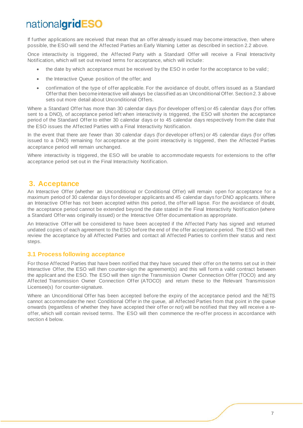If further applications are received that mean that an offer already issued may become interactive, then where possible, the ESO will send the Affected Parties an Early Warning Letter as described in section 2.2 above.

Once interactivity is triggered, the Affected Party with a Standard Offer will receive a Final Interactivity Notification, which will set out revised terms for acceptance, which will include:

- the date by which acceptance must be received by the ESO in order for the acceptance to be valid;
- the Interactive Queue position of the offer; and
- confirmation of the type of offer applicable. For the avoidance of doubt, offers issued as a Standard Offer that then become interactive will always be classified as an Unconditional Offer. Section 2. 3 above sets out more detail about Unconditional Offers.

Where a Standard Offer has more than 30 calendar days (for developer offers) or 45 calendar days (for offers sent to a DNO), of acceptance period left when interactivity is triggered, the ESO will shorten the acceptance period of the Standard Offer to either 30 calendar days or to 45 calendar days respectively from the date that the ESO issues the Affected Parties with a Final Interactivity Notification.

In the event that there are fewer than 30 calendar days (for developer offers) or 45 calendar days (for offers issued to a DNO) remaining for acceptance at the point interactivity is triggered, then the Affected Parties acceptance period will remain unchanged.

Where interactivity is triggered, the ESO will be unable to accommodate requests for extensions to the offer acceptance period set out in the Final Interactivity Notification.

### <span id="page-6-0"></span>**3. Acceptance**

An Interactive Offer (whether an Unconditional or Conditional Offer) will remain open for acceptance for a maximum period of 30 calendar days for developer applicants and 45 calendar days for DNO applicants. Where an Interactive Offer has not been accepted within this period, the offer will lapse. For the avoidance of doubt, the acceptance period cannot be extended beyond the date stated in the Final Interactivity Notification (where a Standard Offer was originally issued) or the Interactive Offer documentation as appropriate.

An Interactive Offer will be considered to have been accepted if the Affected Party has signed and returned undated copies of each agreement to the ESO before the end of the offer acceptance period. The ESO will then review the acceptance by all Affected Parties and contact all Affected Parties to confirm their status and next steps.

#### <span id="page-6-1"></span>**3.1 Process following acceptance**

For those Affected Parties that have been notified that they have secured their offer on the terms set out in their Interactive Offer, the ESO will then counter-sign the agreement(s) and this will form a valid contract between the applicant and the ESO. The ESO will then sign the Transmission Owner Connection Offer (TOCO) and any Affected Transmission Owner Connection Offer (ATOCO) and return these to the Relevant Transmission Licensee(s) for counter-signature.

Where an Unconditional Offer has been accepted before the expiry of the acceptance period and the NETS cannot accommodate the next Conditional Offer in the queue, all Affected Parties from that point in the queue onwards (regardless of whether they have accepted their offer or not) will be notified that they will receive a reoffer, which will contain revised terms. The ESO will then commence the re-offer process in accordance with section 4 below.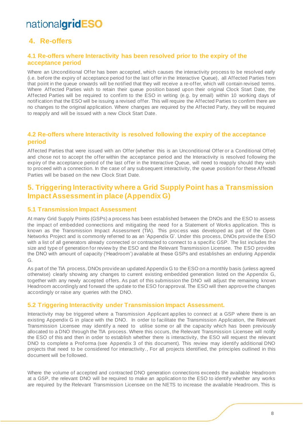### <span id="page-7-0"></span>**4. Re-offers**

#### <span id="page-7-1"></span>**4.1 Re-offers where Interactivity has been resolved prior to the expiry of the acceptance period**

Where an Unconditional Offer has been accepted, which causes the interactivity process to be resolved early (i.e. before the expiry of acceptance period for the last offer in the Interactive Queue), all Affected Parties from that point in the queue onwards will be notified that they will receive a re-offer, which will contain revised terms. Where Affected Parties wish to retain their queue position based upon their original Clock Start Date, the Affected Parties will be required to confirm to the ESO in writing (e.g. by email) within 10 working days of notification that the ESO will be issuing a revised offer. This will require the Affected Parties to confirm there are no changes to the original application. Where changes are required by the Affected Party, they will be required to reapply and will be issued with a new Clock Start Date.

#### <span id="page-7-2"></span>**4.2 Re-offers where Interactivity is resolved following the expiry of the acceptance period**

Affected Parties that were issued with an Offer (whether this is an Unconditional Offer or a Conditional Offer) and chose not to accept the offer within the acceptance period and the Interactivity is resolved following the expiry of the acceptance period of the last offer in the Interactive Queue, will need to reapply should they wish to proceed with a connection. In the case of any subsequent interactivity, the queue position for these Affected Parties will be based on the new Clock Start Date.

### <span id="page-7-3"></span>**5. Triggering Interactivity where a Grid Supply Point has a Transmission Impact Assessment in place (Appendix G)**

#### <span id="page-7-4"></span>**5.1 Transmission Impact Assessment**

At many Grid Supply Points (GSPs) a process has been established between the DNOs and the ESO to assess the impact of embedded connections and mitigating the need for a Statement of Works application. This is known as the Transmission Impact Assessment (TIA). This process was developed as part of the Open Networks Project and is commonly referred to as an 'Appendix G'. Under this process, DNOs provide the ESO with a list of all generators already connected or contracted to connect to a specific GSP. The list includes the size and type of generation for review by the ESO and the Relevant Transmission Licensee. The ESO provides the DNO with amount of capacity ('Headroom') available at these GSPs and establishes an enduring Appendix G.

As part of the TIA process, DNOs provide an updated Appendix G to the ESO on a monthly basis (unless agreed otherwise) clearly showing any changes to current existing embedded generation listed on the Appendix G, together with any newly accepted offers. As part of this submission the DNO will adjust the remaining known Headroom accordingly and forward the update to the ESO for approval. The ESO will then approve the changes accordingly or raise any queries with the DNO.

#### <span id="page-7-5"></span>**5.2 Triggering Interactivity under Transmission Impact Assessment.**

Interactivity may be triggered where a Transmission Applicant applies to connect at a GSP where there is an existing Appendix G in place with the DNO. In order to facilitate the Transmission Application, the Relevant Transmission Licensee may identify a need to utilise some or all the capacity which has been previously allocated to a DNO through the TIA process. Where this occurs, the Relevant Transmission Licensee will notify the ESO of this and then in order to establish whether there is interactivity, the ESO will request the relevant DNO to complete a Proforma (see Appendix 3 of this document). This review may identify additional DNO projects that need to be considered for interactivity., For all projects identified, the principles outlined in this document will be followed.

Where the volume of accepted and contracted DNO generation connections exceeds the available Headroom at a GSP, the relevant DNO will be required to make an application to the ESO to identify whether any works are required by the Relevant Transmission Licensee on the NETS to increase the available Headroom. This is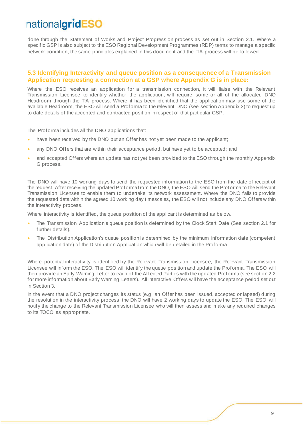done through the Statement of Works and Project Progression process as set out in Section 2.1. Where a specific GSP is also subject to the ESO Regional Development Programmes (RDP) terms to manage a specific network condition, the same principles explained in this document and the TIA process will be followed.

#### <span id="page-8-0"></span>**5.3 Identifying Interactivity and queue position as a consequence of a Transmission Application requesting a connection at a GSP where Appendix G is in place:**

Where the ESO receives an application for a transmission connection, it will liaise with the Relevant Transmission Licensee to identify whether the application, will require some or all of the allocated DNO Headroom through the TIA process. Where it has been identified that the application may use some of the available Headroom, the ESO will send a Proforma to the relevant DNO (see section Appendix 3) to request up to date details of the accepted and contracted position in respect of that particular GSP.

The Proforma includes all the DNO applications that:

- have been received by the DNO but an Offer has not yet been made to the applicant;
- any DNO Offers that are within their acceptance period, but have yet to be accepted ; and
- and accepted Offers where an update has not yet been provided to the ESO through the monthly Appendix G process.

The DNO will have 10 working days to send the requested information to the ESO from the date of receipt of the request. After receiving the updated Proforma from the DNO, the ESO will send the Proforma to the Relevant Transmission Licensee to enable them to undertake its network assessment. Where the DNO fails to provide the requested data within the agreed 10 working day timescales, the ESO will not include any DNO Offers within the interactivity process.

Where interactivity is identified, the queue position of the applicant is determined as below.

- The Transmission Application's queue position is determined by the Clock Start Date (See section 2.1 for further details).
- The Distribution Application's queue position is determined by the minimum information date (competent application date) of the Distribution Application which will be detailed in the Proforma.

Where potential interactivity is identified by the Relevant Transmission Licensee, the Relevant Transmission Licensee will inform the ESO. The ESO will identify the queue position and update the Proforma. The ESO will then provide an Early Warning Letter to each of the Affected Parties with the updated Proforma (see section 2.2 for more information about Early Warning Letters). All Interactive Offers will have the acceptance period set out in Section 3.

In the event that a DNO project changes its status (e.g. an Offer has been issued, accepted or lapsed) during the resolution in the interactivity process, the DNO will have 2 working days to update the ESO. The ESO will notify the change to the Relevant Transmission Licensee who will then assess and make any required changes to its TOCO as appropriate.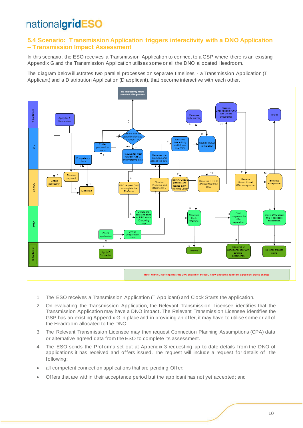#### <span id="page-9-0"></span>**5.4 Scenario: Transmission Application triggers interactivity with a DNO Application – Transmission Impact Assessment**

In this scenario, the ESO receives a Transmission Application to connect to a GSP where there is an existing Appendix G and the Transmission Application utilises some or all the DNO allocated Headroom.

The diagram below illustrates two parallel processes on separate timelines - a Transmission Application (T Applicant) and a Distribution Application (D applicant), that become interactive with each other*.* 



- 1. The ESO receives a Transmission Application (T Applicant) and Clock Starts the application.
- 2. On evaluating the Transmission Application, the Relevant Transmission Licensee identifies that the Transmission Application may have a DNO impact. The Relevant Transmission Licensee identifies the GSP has an existing Appendix G in place and in providing an offer, it may have to utilise some or all of the Headroom allocated to the DNO.
- 3. The Relevant Transmission Licensee may then request Connection Planning Assumptions (CPA) data or alternative agreed data from the ESO to complete its assessment.
- 4. The ESO sends the Proforma set out at Appendix 3 requesting up to date details from the DNO of applications it has received and offers issued. The request will include a request for details of the following:
- all competent connection applications that are pending Offer;
- Offers that are within their acceptance period but the applicant has not yet accepted; and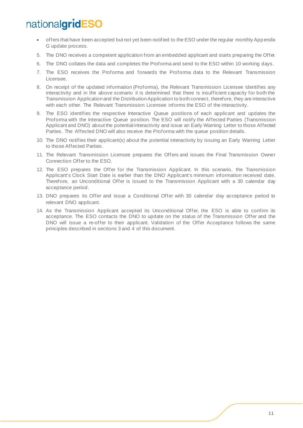- offers that have been accepted but not yet been notified to the ESO under the regular monthly App endix G update process.
- 5. The DNO receives a competent application from an embedded applicant and starts preparing the Offer.
- 6. The DNO collates the data and completes the Proforma and send to the ESO within 10 working days.
- 7. The ESO receives the Proforma and forwards the Proforma data to the Relevant Transmission Licensee.
- 8. On receipt of the updated information (Proforma), the Relevant Transmission Licensee identifies any interactivity and in the above scenario it is determined that there is insufficient capacity for both the Transmission Application and the Distribution Application to both connect, therefore, they are interactive with each other. The Relevant Transmission Licensee informs the ESO of the interactivity.
- 9. The ESO identifies the respective Interactive Queue positions of each applicant and updates the Proforma with the Interactive Queue position. The ESO will notify the Affected Parties (Transmission Applicant and DNO) about the potential interactivity and issue an Early Warning Letter to those Affected Parties. The Affected DNO will also receive the Proforma with the queue position details.
- 10. The DNO notifies their applicant(s) about the potential interactivity by issuing an Early Warning Letter to those Affected Parties.
- 11. The Relevant Transmission Licensee prepares the Offers and issues the Final Transmission Owner Connection Offer to the ESO.
- 12. The ESO prepares the Offer for the Transmission Applicant. In this scenario, the Transmission Applicant's Clock Start Date is earlier than the DNO Applicant's minimum information received date. Therefore, an Unconditional Offer is issued to the Transmission Applicant with a 30 calendar day acceptance period.
- 13. DNO prepares its Offer and issue a Conditional Offer with 30 calendar day acceptance period to relevant DNO applicant.
- 14. As the Transmission Applicant accepted its Unconditional Offer, the ESO is able to confirm its acceptance. The ESO contacts the DNO to update on the status of the Transmission Offer and the DNO will issue a re-offer to their applicant. Validation of the Offer Acceptance follows the same principles described in sections 3 and 4 of this document.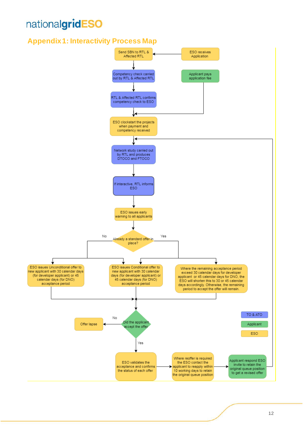### <span id="page-11-0"></span>**Appendix 1: Interactivity Process Map**

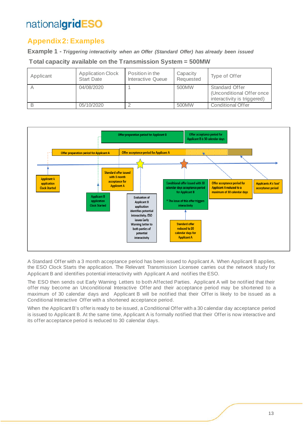### <span id="page-12-0"></span>**Appendix 2: Examples**

**Example 1 -** *Triggering interactivity when an Offer (Standard Offer) has already been issued*

**Total capacity available on the Transmission System = 500MW**

| Applicant | <b>Application Clock</b><br><b>Start Date</b> | Position in the<br>Interactive Queue | Capacity<br>Requested | Type of Offer                                                              |
|-----------|-----------------------------------------------|--------------------------------------|-----------------------|----------------------------------------------------------------------------|
|           | 04/08/2020                                    |                                      | 500MW                 | Standard Offer<br>(Unconditional Offer once<br>interactivity is triggered) |
| B         | 05/10/2020                                    |                                      | 500MW                 | Conditional Offer                                                          |



A Standard Offer with a 3 month acceptance period has been issued to Applicant A. When Applicant B applies, the ESO Clock Starts the application. The Relevant Transmission Licensee carries out the network study for Applicant B and identifies potential interactivity with Applicant A and notifies the ESO.

The ESO then sends out Early Warning Letters to both Affected Parties. Applicant A will be notified that their offer may become an Unconditional Interactive Offer and their acceptance period may be shortened to a maximum of 30 calendar days and Applicant B will be notified that their Offer is likely to be issued as a Conditional Interactive Offer with a shortened acceptance period.

When the Applicant B's offer is ready to be issued, a Conditional Offer with a 30 calendar day acceptance period is issued to Applicant B. At the same time, Applicant A is formally notified that their Offer is now interactive and its offer acceptance period is reduced to 30 calendar days.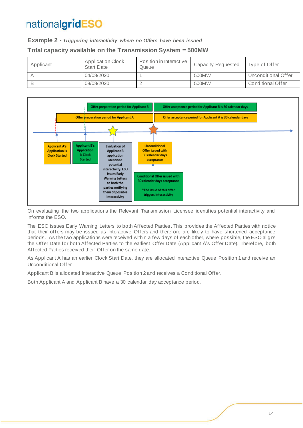#### **Example 2 -** *Triggering interactivity where no Offers have been issued*

#### **Total capacity available on the Transmission System = 500MW**

| Applicant | <b>Application Clock</b><br><b>Start Date</b> | Position in Interactive<br>Queue | <b>Capacity Requested</b> | Type of Offer       |
|-----------|-----------------------------------------------|----------------------------------|---------------------------|---------------------|
|           | 04/08/2020                                    |                                  | 500MW                     | Unconditional Offer |
|           | 08/08/2020                                    |                                  | 500MW                     | Conditional Offer   |



On evaluating the two applications the Relevant Transmission Licensee identifies potential interactivity and informs the ESO.

The ESO issues Early Warning Letters to both Affected Parties. This provides the Affected Parties with notice that their offers may be issued as Interactive Offers and therefore are likely to have shortened acceptance periods. As the two applications were received within a few days of each other, where possible, the ESO aligns the Offer Date for both Affected Parties to the earliest Offer Date (Applicant A's Offer Date). Therefore, both Affected Parties received their Offer on the same date.

As Applicant A has an earlier Clock Start Date, they are allocated Interactive Queue Position 1 and receive an Unconditional Offer.

Applicant B is allocated Interactive Queue Position 2 and receives a Conditional Offer.

Both Applicant A and Applicant B have a 30 calendar day acceptance period.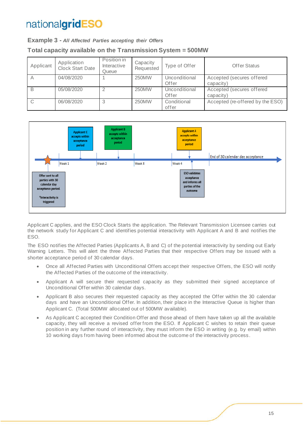#### **Example 3 -** *All Affected Parties accepting their Offers*

#### **Total capacity available on the Transmission System = 500MW**

| Applicant | Application<br><b>Clock Start Date</b> | Position in<br>Interactive<br>Queue | Capacity<br>Requested | Type of Offer          | Offer Status                           |
|-----------|----------------------------------------|-------------------------------------|-----------------------|------------------------|----------------------------------------|
| A         | 04/08/2020                             |                                     | 250MW                 | Unconditional<br>Offer | Accepted (secures offered<br>capacity) |
| B         | 05/08/2020                             |                                     | 250MW                 | Unconditional<br>Offer | Accepted (secures offered<br>capacity) |
| C         | 06/08/2020                             | 3                                   | 250MW                 | Conditional<br>offer   | Accepted (re-offered by the ESO)       |



Applicant C applies, and the ESO Clock Starts the application. The Relevant Transmission Licensee carries out the network study for Applicant C and identifies potential interactivity with Applicant A and B and notifies the ESO.

The ESO notifies the Affected Parties (Applicants A, B and C) of the potential interactivity by sending out Early Warning Letters. This will alert the three Affected Parties that their respective Offers may be issued with a shorter acceptance period of 30 calendar days.

- Once all Affected Parties with Unconditional Offers accept their respective Offers, the ESO will notify the Affected Parties of the outcome of the interactivity.
- Applicant A will secure their requested capacity as they submitted their signed acceptance of Unconditional Offer within 30 calendar days.
- Applicant B also secures their requested capacity as they accepted the Offer within the 30 calendar days and have an Unconditional Offer. In addition, their place in the Interactive Queue is higher than Applicant C. (Total 500MW allocated out of 500MW available).
- As Applicant C accepted their Condition Offer and those ahead of them have taken up all the available capacity, they will receive a revised offer from the ESO. If Applicant C wishes to retain their queue position in any further round of interactivity, they must inform the ESO in writing (e.g. by email) within 10 working days from having been informed about the outcome of the interactivity process.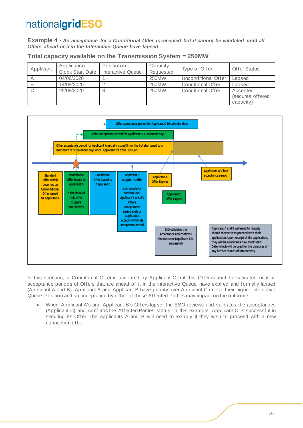**Example 4 -** *An acceptance for a Conditional Offer is received but it cannot be validated until all Offers ahead of it in the Interactive Queue have lapsed*

|  |  |  |  |  | Total capacity available on the Transmission System = 250MW |
|--|--|--|--|--|-------------------------------------------------------------|
|--|--|--|--|--|-------------------------------------------------------------|

| Applicant | Application<br><b>Clock Start Date</b> | Position in<br>Interactive Queue | Capacity<br>Requested | Type of Offer       | <b>Offer Status</b>                       |
|-----------|----------------------------------------|----------------------------------|-----------------------|---------------------|-------------------------------------------|
|           | 04/08/2020                             |                                  | 250MW                 | Unconditional Offer | Lapsed                                    |
|           | 14/08/2020                             |                                  | 250MW                 | Conditional Offer   | Lapsed                                    |
|           | 25/08/2020                             |                                  | 250MW                 | Conditional Offer   | Accepted<br>(secures offered<br>capacity) |



In this scenario, a Conditional Offer is accepted by Applicant C but this Offer cannot be validated until all acceptance periods of Offers that are ahead of it in the Interactive Queue have expired and formally lapsed (Applicant A and B). Applicant A and Applicant B have priority over Applicant C due to their higher Interactive Queue Position and so acceptance by either of these Affected Parties may impact on the outcome.

• When Applicant A's and Applicant B's Offers lapse, the ESO reviews and validates the acceptances (Applicant C) and confirms the Affected Parties status. In this example, Applicant C is successful in securing its Offer. The applicants A and B will need to reapply if they wish to proceed with a new connection offer.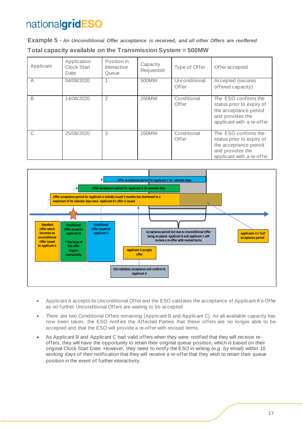**Example 5 -** *An Unconditional Offer acceptance is received, and all other Offers are reoffered* **Total capacity available on the Transmission System = 500MW**

| Applicant | Application<br><b>Clock Start</b><br>Date | Position in<br>Interactive<br>Queue | Capacity<br>Requested | Type of Offer          | Offer accepted                                                                                                              |
|-----------|-------------------------------------------|-------------------------------------|-----------------------|------------------------|-----------------------------------------------------------------------------------------------------------------------------|
| А         | 04/08/2020                                |                                     | 500MW                 | Unconditional<br>Offer | Accepted (secures<br>offered capacity)                                                                                      |
| B         | 14/08/2020                                | 2                                   | 250MW                 | Conditional<br>Offer   | The ESO confirms the<br>status prior to expiry of<br>the acceptance period<br>and provides the<br>applicant with a re-offer |
| C         | 25/08/2020                                | 3                                   | 250MW                 | Conditional<br>Offer   | The ESO confirms the<br>status prior to expiry of<br>the acceptance period<br>and provides the<br>applicant with a re-offer |



- Applicant A accepts its Unconditional Offer and the ESO validates the acceptance of Applicant A's Offer as no further Unconditional Offers are waiting to be accepted.
- There are two Conditional Offers remaining (Applicant B and Applicant C). As all available capacity has now been taken, the ESO notifies the Affected Parties that these offers are no longer able to be accepted and that the ESO will provide a re-offer with revised terms.
- As Applicant B and Applicant C had valid offers when they were notified that they will receive reoffers, they will have the opportunity to retain their original queue position, which is based on their original Clock Start Date. However, they need to notify the ESO in writing (e.g. by email) within 10 working days of their notification that they will receive a re-offer that they wish to retain their queue position in the event of further interactivity.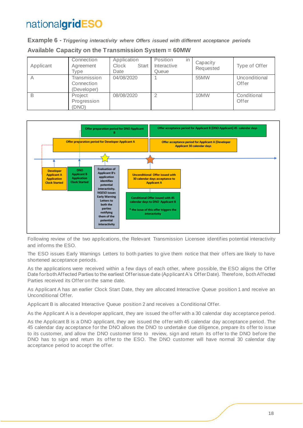**Example 6 -** *Triggering interactivity where Offers issued with different acceptance periods* **Available Capacity on the Transmission System = 60MW** 

| Applicant | Connection<br>Agreement<br>Type           | Application<br>Clock<br>Start<br>Date | Position<br>in<br>Interactive<br>Queue | Capacity<br>Requested | Type of Offer          |
|-----------|-------------------------------------------|---------------------------------------|----------------------------------------|-----------------------|------------------------|
| Α         | Transmission<br>Connection<br>(Developer) | 04/08/2020                            |                                        | 55MW                  | Unconditional<br>Offer |
| B         | Project<br>Progression<br>(DNO)           | 08/08/2020                            |                                        | 10MW                  | Conditional<br>Offer   |



Following review of the two applications, the Relevant Transmission Licensee identifies potential interactivity and informs the ESO.

The ESO issues Early Warnings Letters to both parties to give them notice that their offers are likely to have shortened acceptance periods.

As the applications were received within a few days of each other, where possible, the ESO aligns the Offer Date for both Affected Parties to the earliest Offer issue date (Applicant A's Offer Date). Therefore, both Affected Parties received its Offer on the same date.

As Applicant A has an earlier Clock Start Date, they are allocated Interactive Queue position 1 and receive an Unconditional Offer.

Applicant B is allocated Interactive Queue position 2 and receives a Conditional Offer.

As the Applicant A is a developer applicant, they are issued the offer with a 30 calendar day acceptance period.

As the Applicant B is a DNO applicant, they are issued the offer with 45 calendar day acceptance period. The 45 calendar day acceptance for the DNO allows the DNO to undertake due diligence, prepare its offer to issue to its customer, and allow the DNO customer time to review, sign and return its offer to the DNO before the DNO has to sign and return its offer to the ESO. The DNO customer will have normal 30 calendar day acceptance period to accept the offer.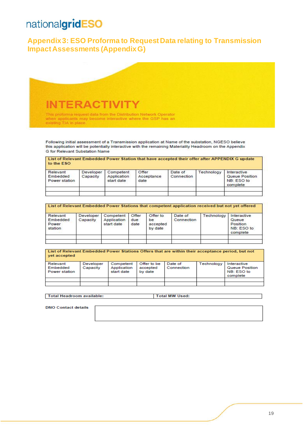### <span id="page-18-0"></span>**Appendix 3: ESO Proforma to Request Data relating to Transmission Impact Assessments (Appendix G)**

**INTERACTIVIT** 

This proforma request data from the Distribution Network Operator<br>when applicants may become interactive where the GSP has an existing TIA in place.

Following initial assessment of a Transmission application at Name of the substation, NGESO believe this application will be potentially interactive with the remaining Materiality Headroom on the Appendix G for Relevant Substation Name

#### List of Relevant Embedded Power Station that have accepted their offer after APPENDIX G update to the ESO

| Relevant<br>Embedded<br>Power station | Developer<br>Capacity | Competent<br>Application<br>start date | Offer<br>Acceptance<br>date | Date of<br>Connection | Technology | Interactive<br>Queue Position<br>NB: ESO to<br>complete |
|---------------------------------------|-----------------------|----------------------------------------|-----------------------------|-----------------------|------------|---------------------------------------------------------|
|                                       |                       |                                        |                             |                       |            |                                                         |

| Relevant<br>Embedded<br>Power<br>station | Developer<br>Capacity | Competent<br>Application<br>start date | Offer<br>due<br>date | Offer to<br>be<br>accepted<br>by date | Date of<br>Connection | Technology | Interactive<br>Queue<br>Position<br>NB: ESO to<br>complete |
|------------------------------------------|-----------------------|----------------------------------------|----------------------|---------------------------------------|-----------------------|------------|------------------------------------------------------------|
|------------------------------------------|-----------------------|----------------------------------------|----------------------|---------------------------------------|-----------------------|------------|------------------------------------------------------------|

| List of Relevant Embedded Power Stations Offers that are within their acceptance period, but not<br>yet accepted |                       |                                        |                                    |                       |            |                                                         |  |  |
|------------------------------------------------------------------------------------------------------------------|-----------------------|----------------------------------------|------------------------------------|-----------------------|------------|---------------------------------------------------------|--|--|
| Relevant<br>Embedded<br>Power station                                                                            | Developer<br>Capacity | Competent<br>Application<br>start date | Offer to be<br>accepted<br>by date | Date of<br>Connection | Technology | Interactive<br>Queue Position<br>NB: ESO to<br>complete |  |  |
|                                                                                                                  |                       |                                        |                                    |                       |            |                                                         |  |  |
|                                                                                                                  |                       |                                        |                                    |                       |            |                                                         |  |  |

**Total Headroom available:** 

Total MW Used:

**DNO Contact details**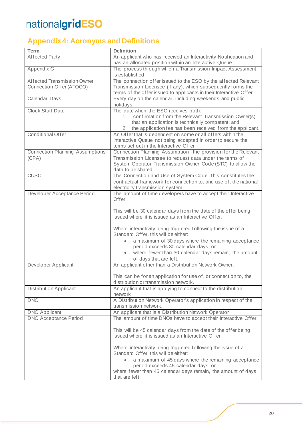### <span id="page-19-0"></span>**Appendix 4: Acronyms and Definitions**

| <b>Term</b>                            | <b>Definition</b>                                                                                                        |
|----------------------------------------|--------------------------------------------------------------------------------------------------------------------------|
| <b>Affected Party</b>                  | An applicant who has received an Interactivity Notification and<br>has an allocated position within an Interactive Queue |
| Appendix G                             | The process through which a Transmission Impact Assessment<br>is established                                             |
| Affected Transmission Owner            | The connection offer issued to the ESO by the affected Relevant                                                          |
| Connection Offer (ATOCO)               | Transmission Licensee (If any), which subsequently forms the                                                             |
|                                        | terms of the offer issued to applicants in their Interactive Offer                                                       |
| Calendar Days                          | Every day on the calendar, including weekends and public<br>holidays.                                                    |
| <b>Clock Start Date</b>                | The date when the ESO receives both:                                                                                     |
|                                        | confirmation from the Relevant Transmission Owner(s)<br>1.                                                               |
|                                        | that an application is technically competent; and                                                                        |
|                                        | 2. the application fee has been received from the applicant.                                                             |
| <b>Conditional Offer</b>               | An Offer that is dependent on some or all offers within the                                                              |
|                                        | Interactive Queue not being accepted in order to secure the<br>terms set out in the Interactive Offer                    |
| <b>Connection Planning Assumptions</b> | Connection Planning Assumption - the provision for the Relevant                                                          |
| (CPA)                                  | Transmission Licensee to request data under the terms of                                                                 |
|                                        | System Operator Transmission Owner Code (STC) to allow the<br>data to be shared                                          |
| <b>CUSC</b>                            | The Connection and Use of System Code. This constitutes the                                                              |
|                                        | contractual framework for connection to, and use of, the national                                                        |
|                                        | electricity transmission system                                                                                          |
| Developer Acceptance Period            | The amount of time developers have to accept their Interactive                                                           |
|                                        | Offer.                                                                                                                   |
|                                        |                                                                                                                          |
|                                        | This will be 30 calendar days from the date of the offer being                                                           |
|                                        | issued where it is issued as an Interactive Offer.                                                                       |
|                                        | Where interactivity being triggered following the issue of a                                                             |
|                                        | Standard Offer, this will be either:                                                                                     |
|                                        | a maximum of 30 days where the remaining acceptance                                                                      |
|                                        | period exceeds 30 calendar days; or                                                                                      |
|                                        | where fewer than 30 calendar days remain, the amount                                                                     |
|                                        | of days that are left.                                                                                                   |
| Developer Applicant                    | An applicant other than a Distribution Network Owner.                                                                    |
|                                        |                                                                                                                          |
|                                        | This can be for an application for use of, or connection to, the                                                         |
|                                        | distribution or transmission network.                                                                                    |
| <b>Distribution Applicant</b>          | An applicant that is applying to connect to the distribution<br>network                                                  |
| <b>DNO</b>                             | A Distribution Network Operator's application in respect of the                                                          |
|                                        | transmission network.                                                                                                    |
| <b>DNO Applicant</b>                   | An applicant that is a Distribution Network Operator                                                                     |
| <b>DNO Acceptance Period</b>           | The amount of time DNOs have to accept their Interactive Offer.                                                          |
|                                        |                                                                                                                          |
|                                        | This will be 45 calendar days from the date of the offer being<br>issued where it is issued as an Interactive Offer.     |
|                                        |                                                                                                                          |
|                                        | Where interactivity being triggered following the issue of a                                                             |
|                                        | Standard Offer, this will be either:                                                                                     |
|                                        | a maximum of 45 days where the remaining acceptance                                                                      |
|                                        | period exceeds 45 calendar days; or                                                                                      |
|                                        | where fewer than 45 calendar days remain, the amount of days                                                             |
|                                        | that are left.                                                                                                           |